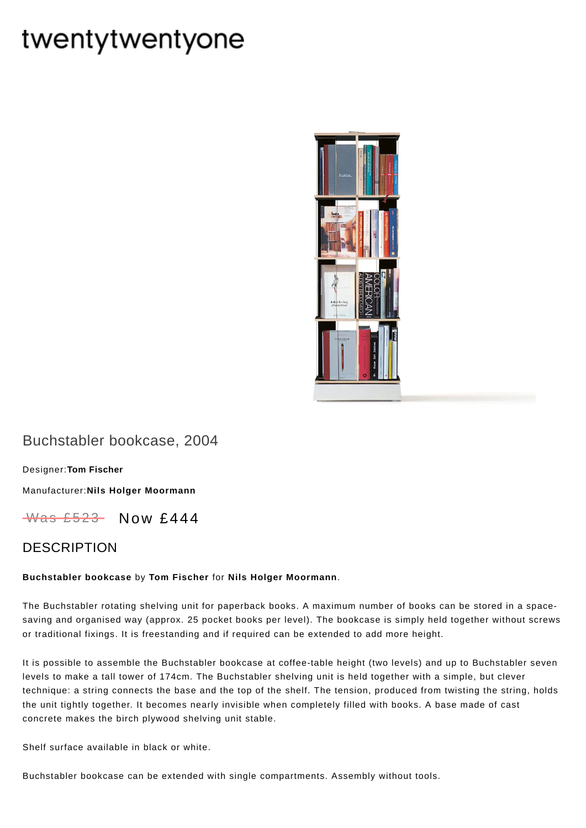# twentytwentyone



# Buchstabler bookcase, 2004

[Designer:](https://www.twentytwentyone.com/collections/designers-tom-fischer)**Tom Fischer**

[Manufacturer:](https://www.twentytwentyone.com/collections/manufacturers-nils-holger-moormann)**Nils Holger Moormann**

 $W$ as £523 Now £444

### DESCRIPTION

#### **Buchstabler bookcase** by **Tom [Fischer](https://www.twentytwentyone.com/collections/designers-tom-fischer)** for **Nils Holger [Moormann](http://twentytwentyone.com/manufacturer/nils-holger-moormann)**.

The Buchstabler rotating shelving unit for paperback books. A maximum number of books can be stored in a spacesaving and organised way (approx. 25 pocket books per level). The bookcase is simply held together without screws or traditional fixings. It is freestanding and if required can be extended to add more height.

It is possible to assemble the Buchstabler bookcase at coffee-table height (two levels) and up to Buchstabler seven levels to make a tall tower of 174cm. The Buchstabler shelving unit is held together with a simple, but clever technique: a string connects the base and the top of the shelf. The tension, produced from twisting the string, holds the unit tightly together. It becomes nearly invisible when completely filled with books. A base made of cast concrete makes the birch plywood shelving unit stable.

Shelf surface available in black or white.

Buchstabler bookcase can be extended with single compartments. Assembly without tools.